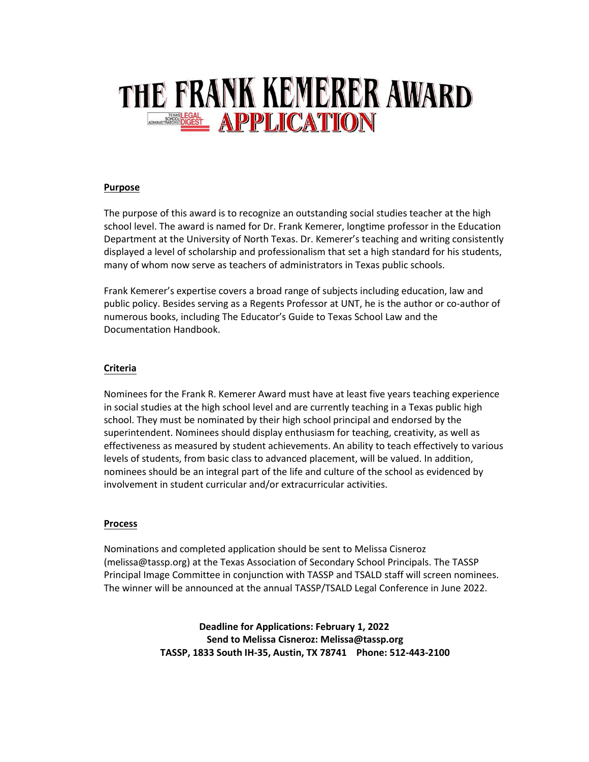# THE FRANK KEMERER AWARD APPLICATION

### **Purpose**

The purpose of this award is to recognize an outstanding social studies teacher at the high school level. The award is named for Dr. Frank Kemerer, longtime professor in the Education Department at the University of North Texas. Dr. Kemerer's teaching and writing consistently displayed a level of scholarship and professionalism that set a high standard for his students, many of whom now serve as teachers of administrators in Texas public schools.

Frank Kemerer's expertise covers a broad range of subjects including education, law and public policy. Besides serving as a Regents Professor at UNT, he is the author or co-author of numerous books, including The Educator's Guide to Texas School Law and the Documentation Handbook.

#### **Criteria**

Nominees for the Frank R. Kemerer Award must have at least five years teaching experience in social studies at the high school level and are currently teaching in a Texas public high school. They must be nominated by their high school principal and endorsed by the superintendent. Nominees should display enthusiasm for teaching, creativity, as well as effectiveness as measured by student achievements. An ability to teach effectively to various levels of students, from basic class to advanced placement, will be valued. In addition, nominees should be an integral part of the life and culture of the school as evidenced by involvement in student curricular and/or extracurricular activities.

#### **Process**

Nominations and completed application should be sent to Melissa Cisneroz (melissa@tassp.org) at the Texas Association of Secondary School Principals. The TASSP Principal Image Committee in conjunction with TASSP and TSALD staff will screen nominees. The winner will be announced at the annual TASSP/TSALD Legal Conference in June 2022.

> **Deadline for Applications: February 1, 2022 Send to Melissa Cisneroz: Melissa@tassp.org TASSP, 1833 South IH-35, Austin, TX 78741 Phone: 512-443-2100**